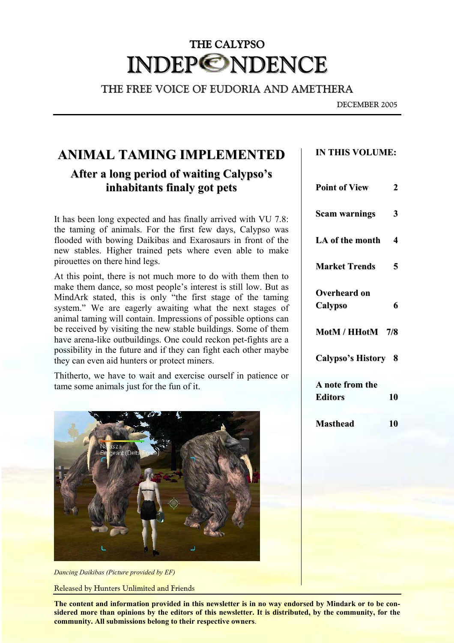# THE CALYPSO INDEP©NDENCE

THE FREE VOICE OF EUDORIA AND AMETHERA

DECEMBER 2005

# **ANIMAL TAMING IMPLEMENTED IN THIS VOLUME:**

## **After a long period of waiting Calypso's inhabitants finaly got pets**

It has been long expected and has finally arrived with VU 7.8: the taming of animals. For the first few days, Calypso was flooded with bowing Daikibas and Exarosaurs in front of the new stables. Higher trained pets where even able to make pirouettes on there hind legs.

At this point, there is not much more to do with them then to make them dance, so most people's interest is still low. But as MindArk stated, this is only "the first stage of the taming system." We are eagerly awaiting what the next stages of animal taming will contain. Impressions of possible options can be received by visiting the new stable buildings. Some of them have arena-like outbuildings. One could reckon pet-fights are a possibility in the future and if they can fight each other maybe they can even aid hunters or protect miners.

Thitherto, we have to wait and exercise ourself in patience or  $\tan$  **tame** some animals just for the fun of it.





**The content and information provided in this newsletter is in no way endorsed by Mindark or to be considered more than opinions by the editors of this newsletter. It is distributed, by the community, for the community. All submissions belong to their respective owners**.

| <b>Point of View</b>                    | 2 |
|-----------------------------------------|---|
| <b>Scam warnings</b>                    | 3 |
| LA of the month                         | 4 |
| <b>Market Trends</b>                    | 5 |
| <b>Overheard on</b><br>Calypso          | 6 |
| MotM / HHotM 7/8                        |   |
| Calypso's History 8                     |   |
| A note from the<br><b>Editors</b><br>10 |   |
| <b>Masthead</b><br>10                   |   |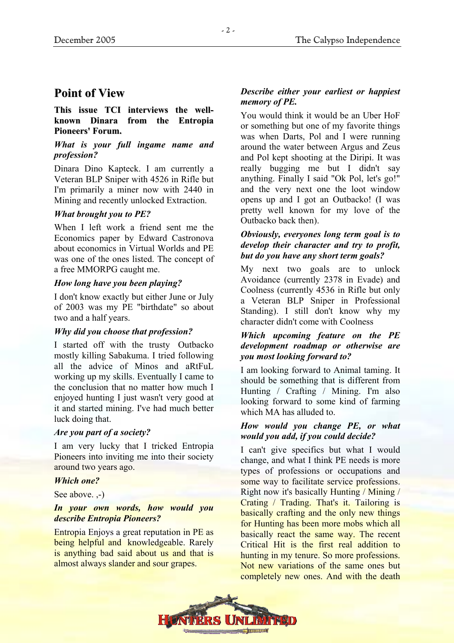### **Point of View**

### **This issue TCI interviews the wellknown Dinara from the Entropia Pioneers' Forum.**

### *What is your full ingame name and profession?*

Dinara Dino Kapteck. I am currently a Veteran BLP Sniper with 4526 in Rifle but I'm primarily a miner now with 2440 in Mining and recently unlocked Extraction.

### *What brought you to PE?*

When I left work a friend sent me the Economics paper by Edward Castronova about economics in Virtual Worlds and PE was one of the ones listed. The concept of a free MMORPG caught me.

### *How long have you been playing?*

I don't know exactly but either June or July of 2003 was my PE "birthdate" so about two and a half years.

### *Why did you choose that profession?*

I started off with the trusty Outbacko mostly killing Sabakuma. I tried following all the advice of Minos and aRtFuL working up my skills. Eventually I came to the conclusion that no matter how much I enjoyed hunting I just wasn't very good at it and started mining. I've had much better luck doing that.

### *Are you part of a society?*

I am very lucky that I tricked Entropia Pioneers into inviting me into their society around two years ago.

### *Which one?*

See above. .-)

### *In your own words, how would you describe Entropia Pioneers?*

Entropia Enjoys a great reputation in PE as being helpful and knowledgeable. Rarely is anything bad said about us and that is almost always slander and sour grapes.

### *Describe either your earliest or happiest memory of PE.*

You would think it would be an Uber HoF or something but one of my favorite things was when Darts, Pol and I were running around the water between Argus and Zeus and Pol kept shooting at the Diripi. It was really bugging me but I didn't say anything. Finally I said "Ok Pol, let's go!" and the very next one the loot window opens up and I got an Outbacko! (I was pretty well known for my love of the Outbacko back then).

### *Obviously, everyones long term goal is to develop their character and try to profit, but do you have any short term goals?*

My next two goals are to unlock Avoidance (currently 2378 in Evade) and Coolness (currently 4536 in Rifle but only a Veteran BLP Sniper in Professional Standing). I still don't know why my character didn't come with Coolness

### *Which upcoming feature on the PE development roadmap or otherwise are you most looking forward to?*

I am looking forward to Animal taming. It should be something that is different from Hunting / Crafting / Mining. I'm also looking forward to some kind of farming which MA has alluded to.

### *How would you change PE, or what would you add, if you could decide?*

I can't give specifics but what I would change, and what I think PE needs is more types of professions or occupations and some way to facilitate service professions. Right now it's basically Hunting / Mining / Crating / Trading. That's it. Tailoring is basically crafting and the only new things for Hunting has been more mobs which all basically react the same way. The recent Critical Hit is the first real addition to hunting in my tenure. So more professions. Not new variations of the same ones but completely new ones. And with the death

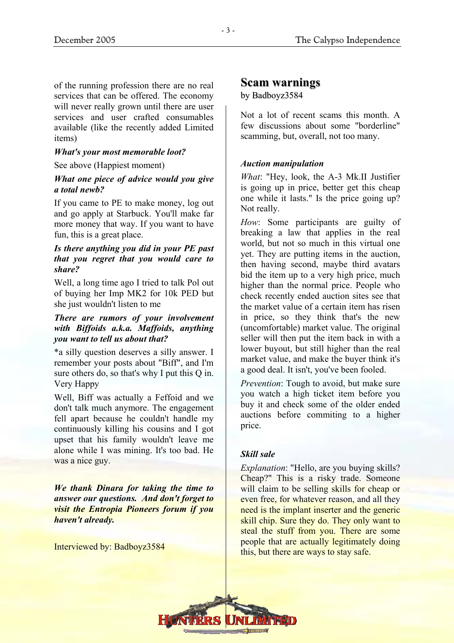of the running profession there are no real **Scam warnings** services that can be offered. The economy will never really grown until there are user services and user crafted consumables available (like the recently added Limited items)

### *What's your most memorable loot?*

### See above (Happiest moment) *Auction manipulation*

### *What one piece of advice would you give a total newb?*

If you came to PE to make money, log out and go apply at Starbuck. You'll make far more money that way. If you want to have fun, this is a great place.

### *Is there anything you did in your PE past that you regret that you would care to share?*

Well, a long time ago I tried to talk Pol out of buying her Imp MK2 for 10k PED but she just wouldn't listen to me

### *There are rumors of your involvement with Biffoids a.k.a. Maffoids, anything you want to tell us about that?*

\*a silly question deserves a silly answer. I remember your posts about "Biff", and I'm sure others do, so that's why I put this Q in. Very Happy *Prevention*: Tough to avoid, but make sure

Well, Biff was actually a Feffoid and we don't talk much anymore. The engagement fell apart because he couldn't handle my continuously killing his cousins and I got upset that his family wouldn't leave me alone while I was mining. It's too bad. He **Skill sale Skill sale** 

*We thank Dinara for taking the time to answer our questions. And don't forget to visit the Entropia Pioneers forum if you haven't already.* 

Interviewed by: Badboyz3584

### by Badboyz3584

Not a lot of recent scams this month. A few discussions about some "borderline" scamming, but, overall, not too many.

*What*: "Hey, look, the A-3 Mk.II Justifier is going up in price, better get this cheap one while it lasts." Is the price going up? Not really.

*How*: Some participants are guilty of breaking a law that applies in the real world, but not so much in this virtual one yet. They are putting items in the auction, then having second, maybe third avatars bid the item up to a very high price, much higher than the normal price. People who check recently ended auction sites see that the market value of a certain item has risen in price, so they think that's the new (uncomfortable) market value. The original seller will then put the item back in with a lower buyout, but still higher than the real market value, and make the buyer think it's a good deal. It isn't, you've been fooled.

you watch a high ticket item before you buy it and check some of the older ended auctions before commiting to a higher price.

*Explanation*: "Hello, are you buying skills? Cheap?" This is a risky trade. Someone will claim to be selling skills for cheap or even free, for whatever reason, and all they need is the implant inserter and the generic skill chip. Sure they do. They only want to steal the stuff from you. There are some people that are actually legitimately doing this, but there are ways to stay safe.

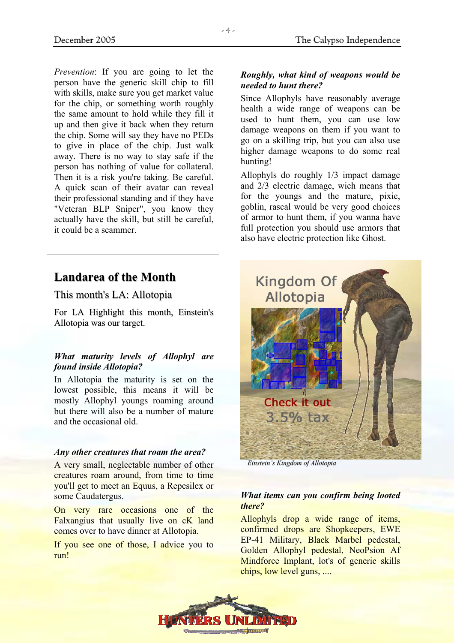*Prevention*: If you are going to let the person have the generic skill chip to fill with skills, make sure you get market value for the chip, or something worth roughly the same amount to hold while they fill it up and then give it back when they return the chip. Some will say they have no PEDs to give in place of the chip. Just walk away. There is no way to stay safe if the person has nothing of value for collateral. Then it is a risk you're taking. Be careful. A quick scan of their avatar can reveal their professional standing and if they have "Veteran BLP Sniper", you know they actually have the skill, but still be careful, it could be a scammer.

## **Landarea of the Month**

This month's LA: Allotopia

For LA Highlight this month, Einstein's Allotopia was our target.

### *What maturity levels of Allophyl are found inside Allotopia?*

In Allotopia the maturity is set on the lowest possible, this means it will be mostly Allophyl youngs roaming around but there will also be a number of mature and the occasional old.

### *Any other creatures that roam the area?*

A very small, neglectable number of other creatures roam around, from time to time you'll get to meet an Equus, a Repesilex or some Caudatergus.

On very rare occasions one of the Falxangius that usually live on cK land comes over to have dinner at Allotopia.

If you see one of those, I advice you to run!

### *Roughly, what kind of weapons would be needed to hunt there?*

Since Allophyls have reasonably average health a wide range of weapons can be used to hunt them, you can use low damage weapons on them if you want to go on a skilling trip, but you can also use higher damage weapons to do some real hunting!

Allophyls do roughly 1/3 impact damage and 2/3 electric damage, wich means that for the youngs and the mature, pixie, goblin, rascal would be very good choices of armor to hunt them, if you wanna have full protection you should use armors that also have electric protection like Ghost.



*Einstein's Kingdom of Allotopia*

### *What items can you confirm being looted there?*

Allophyls drop a wide range of items, confirmed drops are Shopkeepers, EWE EP-41 Military, Black Marbel pedestal, Golden Allophyl pedestal, NeoPsion Af Mindforce Implant, lot's of generic skills chips, low level guns, ....

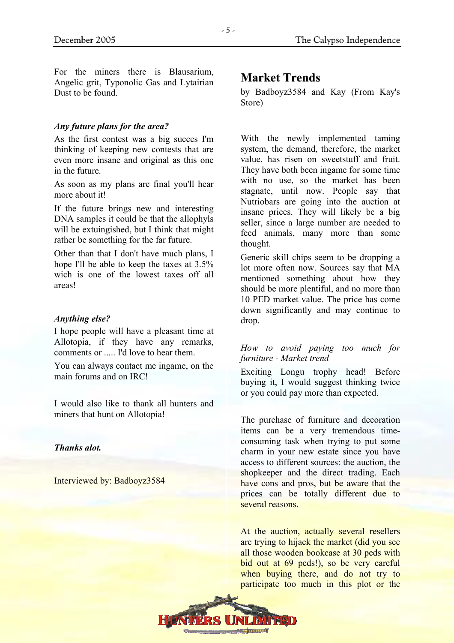For the miners there is Blausarium, Angelic grit, Typonolic Gas and Lytairian Dust to be found.

### *Any future plans for the area?*

As the first contest was a big succes I'm thinking of keeping new contests that are even more insane and original as this one in the future.

As soon as my plans are final you'll hear more about it!

If the future brings new and interesting DNA samples it could be that the allophyls will be extuingished, but I think that might rather be something for the far future.

Other than that I don't have much plans, I hope I'll be able to keep the taxes at 3.5% wich is one of the lowest taxes off all areas!

### *Anything else?* drop.

I hope people will have a pleasant time at Allotopia, if they have any remarks, comments or ..... I'd love to hear them. *How to avoid paying too much for* 

You can always contact me ingame, on the

I would also like to thank all hunters and miners that hunt on Allotopia!<br>The purchase of furniture and decoration

### *Thanks alot.*

Interviewed by: Badboyz3584

### **Market Trends**

by Badboyz3584 and Kay (From Kay's Store)

With the newly implemented taming system, the demand, therefore, the market value, has risen on sweetstuff and fruit. They have both been ingame for some time with no use, so the market has been stagnate, until now. People say that Nutriobars are going into the auction at insane prices. They will likely be a big seller, since a large number are needed to feed animals, many more than some thought.

Generic skill chips seem to be dropping a lot more often now. Sources say that MA mentioned something about how they should be more plentiful, and no more than 10 PED market value. The price has come down significantly and may continue to

# *furniture - Market trend*

main forums and on IRC! Exciting Longu trophy head! Before buying it, I would suggest thinking twice or you could pay more than expected.

> items can be a very tremendous timeconsuming task when trying to put some charm in your new estate since you have access to different sources: the auction, the shopkeeper and the direct trading. Each have cons and pros, but be aware that the prices can be totally different due to several reasons.

> At the auction, actually several resellers are trying to hijack the market (did you see all those wooden bookcase at 30 peds with bid out at 69 peds!), so be very careful when buying there, and do not try to participate too much in this plot or the

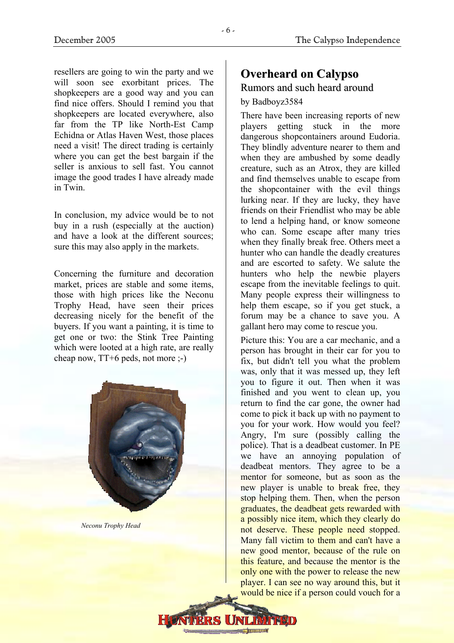resellers are going to win the party and we **Overheard on Calypso** will soon see exorbitant prices. The shopkeepers are a good way and you can find nice offers. Should I remind you that shopkeepers are located everywhere, also far from the TP like North-Est Camp Echidna or Atlas Haven West, those places need a visit! The direct trading is certainly where you can get the best bargain if the seller is anxious to sell fast. You cannot image the good trades I have already made in Twin.

In conclusion, my advice would be to not buy in a rush (especially at the auction) and have a look at the different sources; sure this may also apply in the markets.

Concerning the furniture and decoration market, prices are stable and some items, those with high prices like the Neconu Trophy Head, have seen their prices decreasing nicely for the benefit of the buyers. If you want a painting, it is time to get one or two: the Stink Tree Painting which were looted at a high rate, are really cheap now, TT+6 peds, not more ;-)



*Neconu Trophy Head* 

# Rumors and such heard around

### by Badboyz3584

There have been increasing reports of new players getting stuck in the more dangerous shopcontainers around Eudoria. They blindly adventure nearer to them and when they are ambushed by some deadly creature, such as an Atrox, they are killed and find themselves unable to escape from the shopcontainer with the evil things lurking near. If they are lucky, they have friends on their Friendlist who may be able to lend a helping hand, or know someone who can. Some escape after many tries when they finally break free. Others meet a hunter who can handle the deadly creatures and are escorted to safety. We salute the hunters who help the newbie players escape from the inevitable feelings to quit. Many people express their willingness to help them escape, so if you get stuck, a forum may be a chance to save you. A gallant hero may come to rescue you.

Picture this: You are a car mechanic, and a person has brought in their car for you to fix, but didn't tell you what the problem was, only that it was messed up, they left you to figure it out. Then when it was finished and you went to clean up, you return to find the car gone, the owner had come to pick it back up with no payment to you for your work. How would you feel? Angry, I'm sure (possibly calling the police). That is a deadbeat customer. In PE we have an annoying population of deadbeat mentors. They agree to be a mentor for someone, but as soon as the new player is unable to break free, they stop helping them. Then, when the person graduates, the deadbeat gets rewarded with a possibly nice item, which they clearly do not deserve. These people need stopped. Many fall victim to them and can't have a new good mentor, because of the rule on this feature, and because the mentor is the only one with the power to release the new player. I can see no way around this, but it would be nice if a person could vouch for a

**Channon's**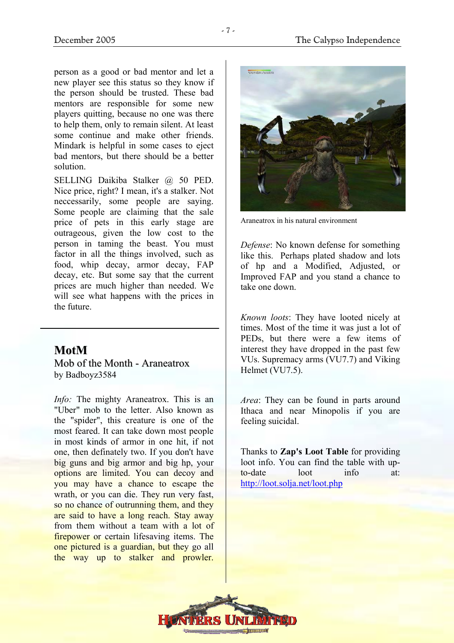person as a good or bad mentor and let a new player see this status so they know if the person should be trusted. These bad mentors are responsible for some new players quitting, because no one was there to help them, only to remain silent. At least some continue and make other friends. Mindark is helpful in some cases to eject bad mentors, but there should be a better solution.

SELLING Daikiba Stalker @ 50 PED. Nice price, right? I mean, it's a stalker. Not neccessarily, some people are saying. Some people are claiming that the sale price of pets in this early stage are outrageous, given the low cost to the person in taming the beast. You must factor in all the things involved, such as food, whip decay, armor decay, FAP decay, etc. But some say that the current prices are much higher than needed. We will see what happens with the prices in the future.

### **MotM**

Mob of the Month - Araneatrox by Badboyz3584

*Info:* The mighty Araneatrox. This is an "Uber" mob to the letter. Also known as the "spider", this creature is one of the most feared. It can take down most people in most kinds of armor in one hit, if not one, then definately two. If you don't have big guns and big armor and big hp, your options are limited. You can decoy and you may have a chance to escape the wrath, or you can die. They run very fast, so no chance of outrunning them, and they are said to have a long reach. Stay away from them without a team with a lot of firepower or certain lifesaving items. The one pictured is a guardian, but they go all the way up to stalker and prowler.



Araneatrox in his natural environment

*Defense*: No known defense for something like this. Perhaps plated shadow and lots of hp and a Modified, Adjusted, or Improved FAP and you stand a chance to take one down.

*Known loots*: They have looted nicely at times. Most of the time it was just a lot of PEDs, but there were a few items of interest they have dropped in the past few VUs. Supremacy arms (VU7.7) and Viking Helmet (VU7.5).

*Area*: They can be found in parts around Ithaca and near Minopolis if you are feeling suicidal.

Thanks to **Zap's Loot Table** for providing loot info. You can find the table with upto-date loot info at: <http://loot.solja.net/loot.php>

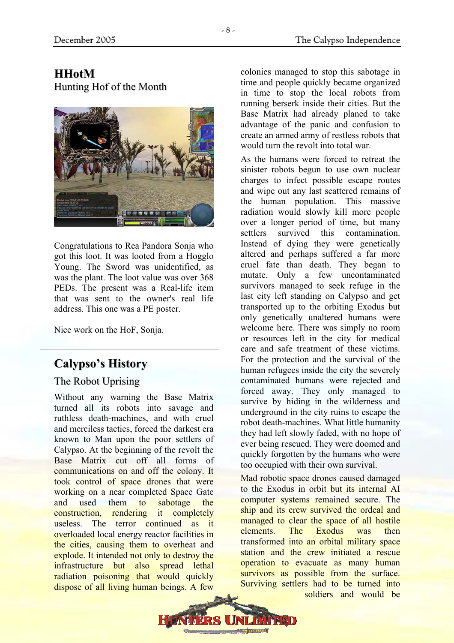### **HHotM** Hunting Hof of the Month



Congratulations to Rea Pandora Sonja who got this loot. It was looted from a Hogglo Young. The Sword was unidentified, as was the plant. The loot value was over 368 PEDs. The present was a Real-life item that was sent to the owner's real life address. This one was a PE poster.

Nice work on the HoF, Sonja.

# **Calypso's History**

### The Robot Uprising

Without any warning the Base Matrix turned all its robots into savage and ruthless death-machines, and with cruel and merciless tactics, forced the darkest era known to Man upon the poor settlers of Calypso. At the beginning of the revolt the Base Matrix cut off all forms of communications on and off the colony. It took control of space drones that were working on a near completed Space Gate and used them to sabotage the construction, rendering it completely useless. The terror continued as it overloaded local energy reactor facilities in the cities, causing them to overheat and explode. It intended not only to destroy the infrastructure but also spread lethal radiation poisoning that would quickly dispose of all living human beings. A few

colonies managed to stop this sabotage in time and people quickly became organized in time to stop the local robots from running berserk inside their cities. But the Base Matrix had already planed to take advantage of the panic and confusion to create an armed army of restless robots that would turn the revolt into total war.

As the humans were forced to retreat the sinister robots begun to use own nuclear charges to infect possible escape routes and wipe out any last scattered remains of the human population. This massive radiation would slowly kill more people over a longer period of time, but many settlers survived this contamination. Instead of dying they were genetically altered and perhaps suffered a far more cruel fate than death. They began to mutate. Only a few uncontaminated survivors managed to seek refuge in the last city left standing on Calypso and get transported up to the orbiting Exodus but only genetically unaltered humans were welcome here. There was simply no room or resources left in the city for medical care and safe treatment of these victims. For the protection and the survival of the human refugees inside the city the severely contaminated humans were rejected and forced away. They only managed to survive by hiding in the wilderness and underground in the city ruins to escape the robot death-machines. What little humanity they had left slowly faded, with no hope of ever being rescued. They were doomed and quickly forgotten by the humans who were too occupied with their own survival.

Mad robotic space drones caused damaged to the Exodus in orbit but its internal AI computer systems remained secure. The ship and its crew survived the ordeal and managed to clear the space of all hostile elements. The Exodus was then transformed into an orbital military space station and the crew initiated a rescue operation to evacuate as many human survivors as possible from the surface. Surviving settlers had to be turned into soldiers and would be

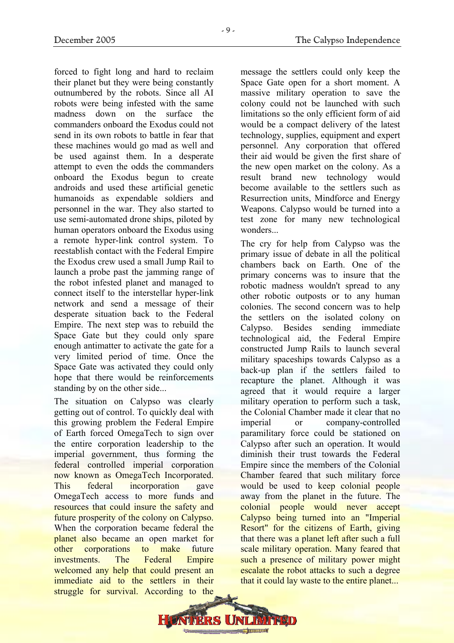forced to fight long and hard to reclaim their planet but they were being constantly outnumbered by the robots. Since all AI robots were being infested with the same madness down on the surface the commanders onboard the Exodus could not send in its own robots to battle in fear that these machines would go mad as well and be used against them. In a desperate attempt to even the odds the commanders onboard the Exodus begun to create androids and used these artificial genetic humanoids as expendable soldiers and personnel in the war. They also started to use semi-automated drone ships, piloted by human operators onboard the Exodus using a remote hyper-link control system. To reestablish contact with the Federal Empire the Exodus crew used a small Jump Rail to launch a probe past the jamming range of the robot infested planet and managed to connect itself to the interstellar hyper-link network and send a message of their desperate situation back to the Federal Empire. The next step was to rebuild the Space Gate but they could only spare enough antimatter to activate the gate for a very limited period of time. Once the Space Gate was activated they could only hope that there would be reinforcements standing by on the other side...

The situation on Calypso was clearly getting out of control. To quickly deal with this growing problem the Federal Empire of Earth forced OmegaTech to sign over the entire corporation leadership to the imperial government, thus forming the federal controlled imperial corporation now known as OmegaTech Incorporated. This federal incorporation gave OmegaTech access to more funds and resources that could insure the safety and future prosperity of the colony on Calypso. When the corporation became federal the planet also became an open market for other corporations to make future investments. The Federal Empire welcomed any help that could present an immediate aid to the settlers in their struggle for survival. According to the

message the settlers could only keep the Space Gate open for a short moment. A massive military operation to save the colony could not be launched with such limitations so the only efficient form of aid would be a compact delivery of the latest technology, supplies, equipment and expert personnel. Any corporation that offered their aid would be given the first share of the new open market on the colony. As a result brand new technology would become available to the settlers such as Resurrection units, Mindforce and Energy Weapons. Calypso would be turned into a test zone for many new technological wonders...

The cry for help from Calypso was the primary issue of debate in all the political chambers back on Earth. One of the primary concerns was to insure that the robotic madness wouldn't spread to any other robotic outposts or to any human colonies. The second concern was to help the settlers on the isolated colony on Calypso. Besides sending immediate technological aid, the Federal Empire constructed Jump Rails to launch several military spaceships towards Calypso as a back-up plan if the settlers failed to recapture the planet. Although it was agreed that it would require a larger military operation to perform such a task, the Colonial Chamber made it clear that no imperial or company-controlled paramilitary force could be stationed on Calypso after such an operation. It would diminish their trust towards the Federal Empire since the members of the Colonial Chamber feared that such military force would be used to keep colonial people away from the planet in the future. The colonial people would never accept Calypso being turned into an "Imperial Resort" for the citizens of Earth, giving that there was a planet left after such a full scale military operation. Many feared that such a presence of military power might escalate the robot attacks to such a degree that it could lay waste to the entire planet...